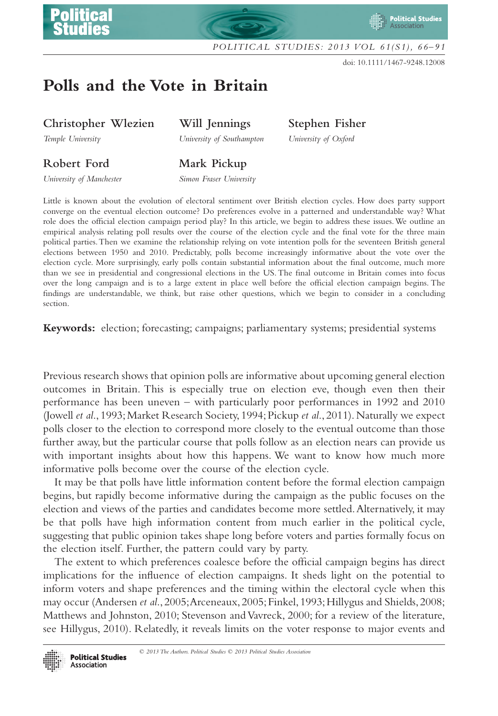doi: 10.1111/1467-9248.12008

# **Polls and the Vote in Britain**

**Christopher Wlezien**

*Temple University*

**Will Jennings**

**Stephen Fisher**

*University of Southampton*

*University of Oxford*

**Robert Ford** *University of Manchester*

Political

**Mark Pickup** *Simon Fraser University*

Little is known about the evolution of electoral sentiment over British election cycles. How does party support converge on the eventual election outcome? Do preferences evolve in a patterned and understandable way? What role does the official election campaign period play? In this article, we begin to address these issues.We outline an empirical analysis relating poll results over the course of the election cycle and the final vote for the three main political parties.Then we examine the relationship relying on vote intention polls for the seventeen British general elections between 1950 and 2010. Predictably, polls become increasingly informative about the vote over the election cycle. More surprisingly, early polls contain substantial information about the final outcome, much more than we see in presidential and congressional elections in the US. The final outcome in Britain comes into focus over the long campaign and is to a large extent in place well before the official election campaign begins. The findings are understandable, we think, but raise other questions, which we begin to consider in a concluding section.

**Keywords:** election; forecasting; campaigns; parliamentary systems; presidential systems

Previous research shows that opinion polls are informative about upcoming general election outcomes in Britain. This is especially true on election eve, though even then their performance has been uneven – with particularly poor performances in 1992 and 2010 (Jowell *et al*.,1993;Market Research Society,1994;Pickup *et al*.,2011).Naturally we expect polls closer to the election to correspond more closely to the eventual outcome than those further away, but the particular course that polls follow as an election nears can provide us with important insights about how this happens. We want to know how much more informative polls become over the course of the election cycle.

It may be that polls have little information content before the formal election campaign begins, but rapidly become informative during the campaign as the public focuses on the election and views of the parties and candidates become more settled.Alternatively, it may be that polls have high information content from much earlier in the political cycle, suggesting that public opinion takes shape long before voters and parties formally focus on the election itself. Further, the pattern could vary by party.

The extent to which preferences coalesce before the official campaign begins has direct implications for the influence of election campaigns. It sheds light on the potential to inform voters and shape preferences and the timing within the electoral cycle when this may occur (Andersen *et al*.,2005;Arceneaux,2005;Finkel,1993;Hillygus and Shields,2008; Matthews and Johnston, 2010; Stevenson and Vavreck, 2000; for a review of the literature, see Hillygus, 2010). Relatedly, it reveals limits on the voter response to major events and

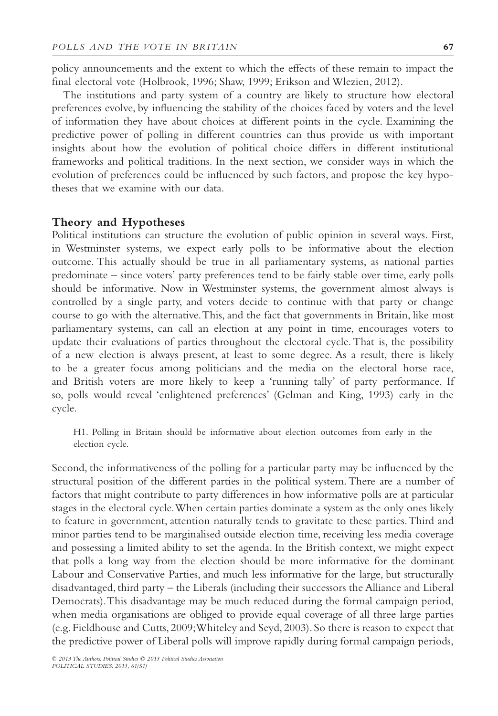policy announcements and the extent to which the effects of these remain to impact the final electoral vote (Holbrook, 1996; Shaw, 1999; Erikson and Wlezien, 2012).

The institutions and party system of a country are likely to structure how electoral preferences evolve, by influencing the stability of the choices faced by voters and the level of information they have about choices at different points in the cycle. Examining the predictive power of polling in different countries can thus provide us with important insights about how the evolution of political choice differs in different institutional frameworks and political traditions. In the next section, we consider ways in which the evolution of preferences could be influenced by such factors, and propose the key hypotheses that we examine with our data.

#### **Theory and Hypotheses**

Political institutions can structure the evolution of public opinion in several ways. First, in Westminster systems, we expect early polls to be informative about the election outcome. This actually should be true in all parliamentary systems, as national parties predominate – since voters' party preferences tend to be fairly stable over time, early polls should be informative. Now in Westminster systems, the government almost always is controlled by a single party, and voters decide to continue with that party or change course to go with the alternative.This, and the fact that governments in Britain, like most parliamentary systems, can call an election at any point in time, encourages voters to update their evaluations of parties throughout the electoral cycle. That is, the possibility of a new election is always present, at least to some degree. As a result, there is likely to be a greater focus among politicians and the media on the electoral horse race, and British voters are more likely to keep a 'running tally' of party performance. If so, polls would reveal 'enlightened preferences' (Gelman and King, 1993) early in the cycle.

H1. Polling in Britain should be informative about election outcomes from early in the election cycle.

Second, the informativeness of the polling for a particular party may be influenced by the structural position of the different parties in the political system. There are a number of factors that might contribute to party differences in how informative polls are at particular stages in the electoral cycle.When certain parties dominate a system as the only ones likely to feature in government, attention naturally tends to gravitate to these parties.Third and minor parties tend to be marginalised outside election time, receiving less media coverage and possessing a limited ability to set the agenda. In the British context, we might expect that polls a long way from the election should be more informative for the dominant Labour and Conservative Parties, and much less informative for the large, but structurally disadvantaged, third party – the Liberals (including their successors the Alliance and Liberal Democrats).This disadvantage may be much reduced during the formal campaign period, when media organisations are obliged to provide equal coverage of all three large parties (e.g. Fieldhouse and Cutts, 2009;Whiteley and Seyd, 2003). So there is reason to expect that the predictive power of Liberal polls will improve rapidly during formal campaign periods,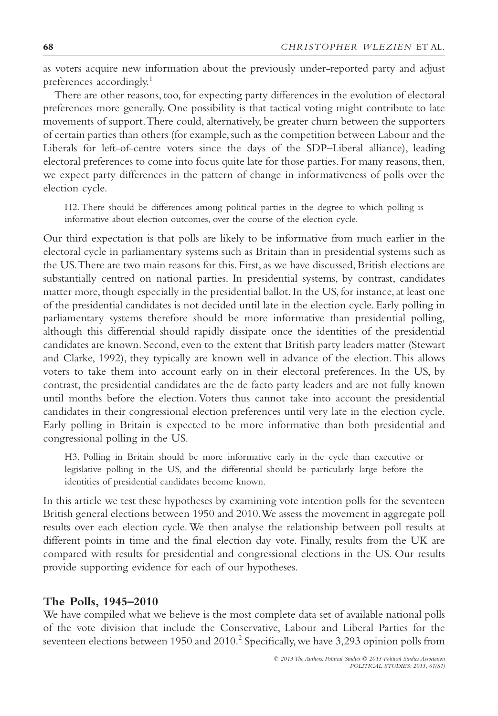as voters acquire new information about the previously under-reported party and adjust preferences accordingly.<sup>1</sup>

There are other reasons, too, for expecting party differences in the evolution of electoral preferences more generally. One possibility is that tactical voting might contribute to late movements of support.There could, alternatively, be greater churn between the supporters of certain parties than others (for example,such as the competition between Labour and the Liberals for left-of-centre voters since the days of the SDP–Liberal alliance), leading electoral preferences to come into focus quite late for those parties. For many reasons, then, we expect party differences in the pattern of change in informativeness of polls over the election cycle.

H2. There should be differences among political parties in the degree to which polling is informative about election outcomes, over the course of the election cycle.

Our third expectation is that polls are likely to be informative from much earlier in the electoral cycle in parliamentary systems such as Britain than in presidential systems such as the US.There are two main reasons for this. First, as we have discussed, British elections are substantially centred on national parties. In presidential systems, by contrast, candidates matter more, though especially in the presidential ballot. In the US, for instance, at least one of the presidential candidates is not decided until late in the election cycle. Early polling in parliamentary systems therefore should be more informative than presidential polling, although this differential should rapidly dissipate once the identities of the presidential candidates are known. Second, even to the extent that British party leaders matter (Stewart and Clarke, 1992), they typically are known well in advance of the election. This allows voters to take them into account early on in their electoral preferences. In the US, by contrast, the presidential candidates are the de facto party leaders and are not fully known until months before the election. Voters thus cannot take into account the presidential candidates in their congressional election preferences until very late in the election cycle. Early polling in Britain is expected to be more informative than both presidential and congressional polling in the US.

H3. Polling in Britain should be more informative early in the cycle than executive or legislative polling in the US, and the differential should be particularly large before the identities of presidential candidates become known.

In this article we test these hypotheses by examining vote intention polls for the seventeen British general elections between 1950 and 2010.We assess the movement in aggregate poll results over each election cycle. We then analyse the relationship between poll results at different points in time and the final election day vote. Finally, results from the UK are compared with results for presidential and congressional elections in the US. Our results provide supporting evidence for each of our hypotheses.

#### **The Polls, 1945–2010**

We have compiled what we believe is the most complete data set of available national polls of the vote division that include the Conservative, Labour and Liberal Parties for the seventeen elections between 1950 and 2010.<sup>2</sup> Specifically, we have 3,293 opinion polls from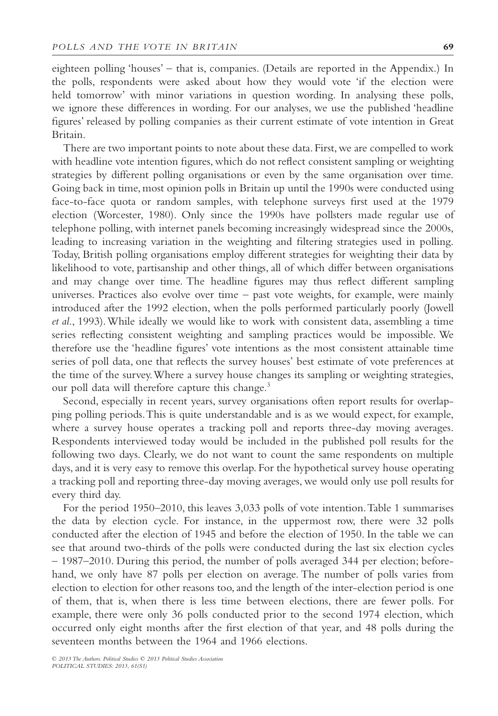eighteen polling 'houses' – that is, companies. (Details are reported in the Appendix.) In the polls, respondents were asked about how they would vote 'if the election were held tomorrow' with minor variations in question wording. In analysing these polls, we ignore these differences in wording. For our analyses, we use the published 'headline figures' released by polling companies as their current estimate of vote intention in Great Britain.

There are two important points to note about these data. First, we are compelled to work with headline vote intention figures, which do not reflect consistent sampling or weighting strategies by different polling organisations or even by the same organisation over time. Going back in time, most opinion polls in Britain up until the 1990s were conducted using face-to-face quota or random samples, with telephone surveys first used at the 1979 election (Worcester, 1980). Only since the 1990s have pollsters made regular use of telephone polling, with internet panels becoming increasingly widespread since the 2000s, leading to increasing variation in the weighting and filtering strategies used in polling. Today, British polling organisations employ different strategies for weighting their data by likelihood to vote, partisanship and other things, all of which differ between organisations and may change over time. The headline figures may thus reflect different sampling universes. Practices also evolve over time – past vote weights, for example, were mainly introduced after the 1992 election, when the polls performed particularly poorly (Jowell *et al*., 1993).While ideally we would like to work with consistent data, assembling a time series reflecting consistent weighting and sampling practices would be impossible. We therefore use the 'headline figures' vote intentions as the most consistent attainable time series of poll data, one that reflects the survey houses' best estimate of vote preferences at the time of the survey.Where a survey house changes its sampling or weighting strategies, our poll data will therefore capture this change.<sup>3</sup>

Second, especially in recent years, survey organisations often report results for overlapping polling periods.This is quite understandable and is as we would expect, for example, where a survey house operates a tracking poll and reports three-day moving averages. Respondents interviewed today would be included in the published poll results for the following two days. Clearly, we do not want to count the same respondents on multiple days, and it is very easy to remove this overlap. For the hypothetical survey house operating a tracking poll and reporting three-day moving averages, we would only use poll results for every third day.

For the period 1950–2010, this leaves 3,033 polls of vote intention.Table 1 summarises the data by election cycle. For instance, in the uppermost row, there were 32 polls conducted after the election of 1945 and before the election of 1950. In the table we can see that around two-thirds of the polls were conducted during the last six election cycles – 1987–2010. During this period, the number of polls averaged 344 per election; beforehand, we only have 87 polls per election on average. The number of polls varies from election to election for other reasons too, and the length of the inter-election period is one of them, that is, when there is less time between elections, there are fewer polls. For example, there were only 36 polls conducted prior to the second 1974 election, which occurred only eight months after the first election of that year, and 48 polls during the seventeen months between the 1964 and 1966 elections.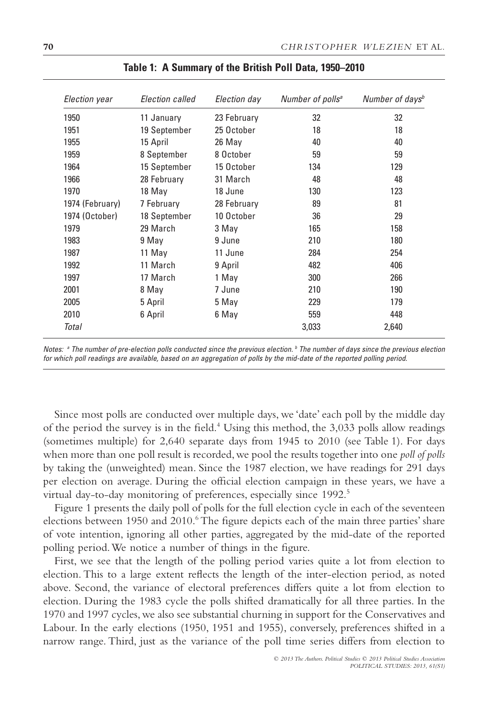| Election year   | Election called | Election day | Number of polls <sup>a</sup> | Number of days <sup>b</sup> |
|-----------------|-----------------|--------------|------------------------------|-----------------------------|
| 1950            | 11 January      | 23 February  | 32                           | 32                          |
| 1951            | 19 September    | 25 October   | 18                           | 18                          |
| 1955            | 15 April        | 26 May       | 40                           | 40                          |
| 1959            | 8 September     | 8 October    | 59                           | 59                          |
| 1964            | 15 September    | 15 October   | 134                          | 129                         |
| 1966            | 28 February     | 31 March     | 48                           | 48                          |
| 1970            | 18 May          | 18 June      | 130                          | 123                         |
| 1974 (February) | 7 February      | 28 February  | 89                           | 81                          |
| 1974 (October)  | 18 September    | 10 October   | 36                           | 29                          |
| 1979            | 29 March        | 3 May        | 165                          | 158                         |
| 1983            | 9 May           | 9 June       | 210                          | 180                         |
| 1987            | 11 May          | 11 June      | 284                          | 254                         |
| 1992            | 11 March        | 9 April      | 482                          | 406                         |
| 1997            | 17 March        | 1 May        | 300                          | 266                         |
| 2001            | 8 May           | 7 June       | 210                          | 190                         |
| 2005            | 5 April         | 5 May        | 229                          | 179                         |
| 2010            | 6 April         | 6 May        | 559                          | 448                         |
| Total           |                 |              | 3,033                        | 2,640                       |

**Table 1: A Summary of the British Poll Data, 1950–2010**

*Notes: <sup>a</sup> The number of pre-election polls conducted since the previous election. <sup>b</sup> The number of days since the previous election for which poll readings are available, based on an aggregation of polls by the mid-date of the reported polling period.*

Since most polls are conducted over multiple days, we 'date' each poll by the middle day of the period the survey is in the field.<sup>4</sup> Using this method, the  $3,033$  polls allow readings (sometimes multiple) for 2,640 separate days from 1945 to 2010 (see Table 1). For days when more than one poll result is recorded, we pool the results together into one *poll of polls* by taking the (unweighted) mean. Since the 1987 election, we have readings for 291 days per election on average. During the official election campaign in these years, we have a virtual day-to-day monitoring of preferences, especially since 1992.<sup>5</sup>

Figure 1 presents the daily poll of polls for the full election cycle in each of the seventeen elections between 1950 and 2010.<sup>6</sup>The figure depicts each of the main three parties' share of vote intention, ignoring all other parties, aggregated by the mid-date of the reported polling period.We notice a number of things in the figure.

First, we see that the length of the polling period varies quite a lot from election to election. This to a large extent reflects the length of the inter-election period, as noted above. Second, the variance of electoral preferences differs quite a lot from election to election. During the 1983 cycle the polls shifted dramatically for all three parties. In the 1970 and 1997 cycles, we also see substantial churning in support for the Conservatives and Labour. In the early elections (1950, 1951 and 1955), conversely, preferences shifted in a narrow range. Third, just as the variance of the poll time series differs from election to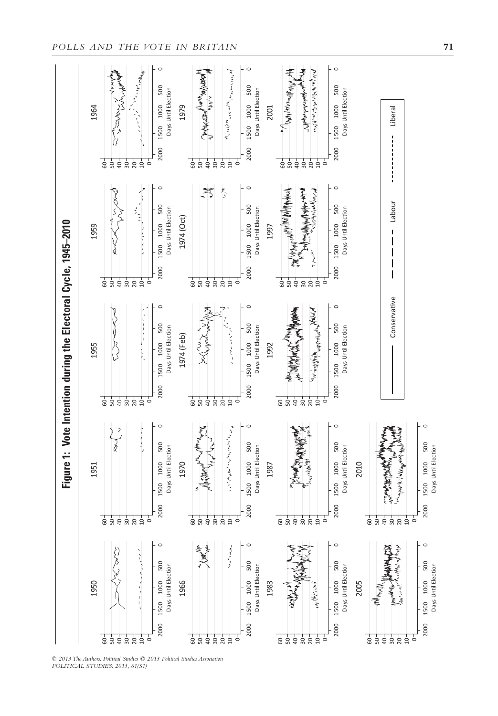

*© 2013 The Authors. Political Studies © 2013 Political Studies Association POLITICAL STUDIES: 2013, 61(S1)*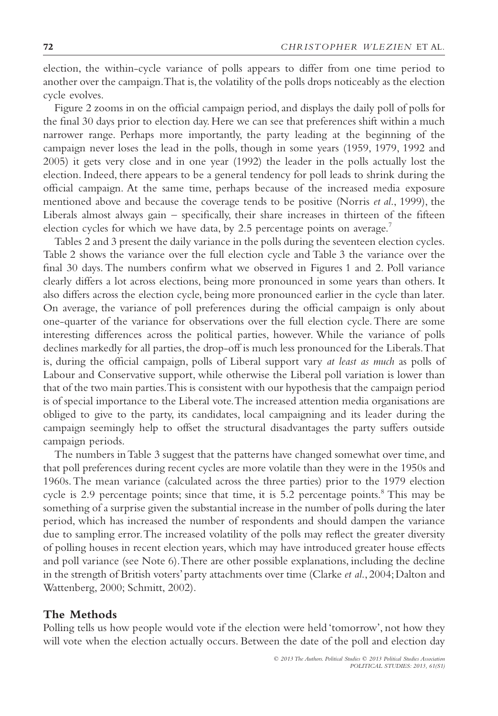election, the within-cycle variance of polls appears to differ from one time period to another over the campaign. That is, the volatility of the polls drops noticeably as the election cycle evolves.

Figure 2 zooms in on the official campaign period, and displays the daily poll of polls for the final 30 days prior to election day. Here we can see that preferences shift within a much narrower range. Perhaps more importantly, the party leading at the beginning of the campaign never loses the lead in the polls, though in some years (1959, 1979, 1992 and 2005) it gets very close and in one year (1992) the leader in the polls actually lost the election. Indeed, there appears to be a general tendency for poll leads to shrink during the official campaign. At the same time, perhaps because of the increased media exposure mentioned above and because the coverage tends to be positive (Norris *et al*., 1999), the Liberals almost always gain – specifically, their share increases in thirteen of the fifteen election cycles for which we have data, by 2.5 percentage points on average.<sup>7</sup>

Tables 2 and 3 present the daily variance in the polls during the seventeen election cycles. Table 2 shows the variance over the full election cycle and Table 3 the variance over the final 30 days. The numbers confirm what we observed in Figures 1 and 2. Poll variance clearly differs a lot across elections, being more pronounced in some years than others. It also differs across the election cycle, being more pronounced earlier in the cycle than later. On average, the variance of poll preferences during the official campaign is only about one-quarter of the variance for observations over the full election cycle.There are some interesting differences across the political parties, however. While the variance of polls declines markedly for all parties, the drop-off is much less pronounced for the Liberals.That is, during the official campaign, polls of Liberal support vary *at least as much* as polls of Labour and Conservative support, while otherwise the Liberal poll variation is lower than that of the two main parties.This is consistent with our hypothesis that the campaign period is of special importance to the Liberal vote.The increased attention media organisations are obliged to give to the party, its candidates, local campaigning and its leader during the campaign seemingly help to offset the structural disadvantages the party suffers outside campaign periods.

The numbers inTable 3 suggest that the patterns have changed somewhat over time, and that poll preferences during recent cycles are more volatile than they were in the 1950s and 1960s.The mean variance (calculated across the three parties) prior to the 1979 election cycle is 2.9 percentage points; since that time, it is 5.2 percentage points.<sup>8</sup> This may be something of a surprise given the substantial increase in the number of polls during the later period, which has increased the number of respondents and should dampen the variance due to sampling error.The increased volatility of the polls may reflect the greater diversity of polling houses in recent election years, which may have introduced greater house effects and poll variance (see Note 6).There are other possible explanations, including the decline in the strength of British voters' party attachments over time (Clarke et al., 2004; Dalton and Wattenberg, 2000; Schmitt, 2002).

## **The Methods**

Polling tells us how people would vote if the election were held 'tomorrow', not how they will vote when the election actually occurs. Between the date of the poll and election day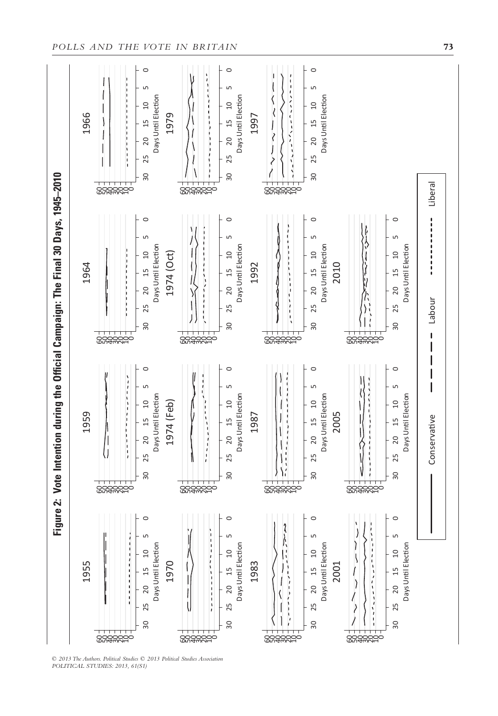

*<sup>© 2013</sup> The Authors. Political Studies © 2013 Political Studies Association POLITICAL STUDIES: 2013, 61(S1)*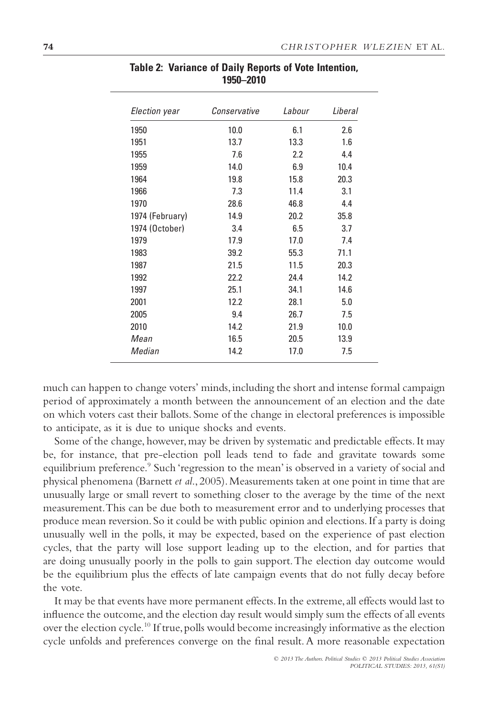| Election year   | Conservative | Labour | Liberal |
|-----------------|--------------|--------|---------|
| 1950            | 10.0         | 6.1    | 2.6     |
| 1951            | 13.7         | 13.3   | 1.6     |
| 1955            | 7.6          | 22     | 4.4     |
| 1959            | 14.0         | 6.9    | 10.4    |
| 1964            | 19.8         | 15.8   | 20.3    |
| 1966            | 7.3          | 11.4   | 3.1     |
| 1970            | 28.6         | 46.8   | 4.4     |
| 1974 (February) | 14.9         | 20.2   | 35.8    |
| 1974 (October)  | 3.4          | 6.5    | 3.7     |
| 1979            | 17.9         | 17.0   | 7.4     |
| 1983            | 39.2         | 55.3   | 71.1    |
| 1987            | 21.5         | 11.5   | 20.3    |
| 1992            | 22.2         | 24.4   | 14.2    |
| 1997            | 25.1         | 34.1   | 14.6    |
| 2001            | 12.2         | 28.1   | 5.0     |
| 2005            | 9.4          | 26.7   | 7.5     |
| 2010            | 14.2         | 21.9   | 10.0    |
| Mean            | 16.5         | 20.5   | 13.9    |
| Median          | 14.2         | 17.0   | 7.5     |

# **Table 2: Variance of Daily Reports of Vote Intention, 1950–2010**

much can happen to change voters' minds,including the short and intense formal campaign period of approximately a month between the announcement of an election and the date on which voters cast their ballots. Some of the change in electoral preferences is impossible to anticipate, as it is due to unique shocks and events.

Some of the change, however, may be driven by systematic and predictable effects. It may be, for instance, that pre-election poll leads tend to fade and gravitate towards some equilibrium preference.<sup>9</sup> Such 'regression to the mean' is observed in a variety of social and physical phenomena (Barnett *et al*.,2005).Measurements taken at one point in time that are unusually large or small revert to something closer to the average by the time of the next measurement.This can be due both to measurement error and to underlying processes that produce mean reversion.So it could be with public opinion and elections.If a party is doing unusually well in the polls, it may be expected, based on the experience of past election cycles, that the party will lose support leading up to the election, and for parties that are doing unusually poorly in the polls to gain support.The election day outcome would be the equilibrium plus the effects of late campaign events that do not fully decay before the vote.

It may be that events have more permanent effects. In the extreme, all effects would last to influence the outcome, and the election day result would simply sum the effects of all events over the election cycle.<sup>10</sup> If true, polls would become increasingly informative as the election cycle unfolds and preferences converge on the final result. A more reasonable expectation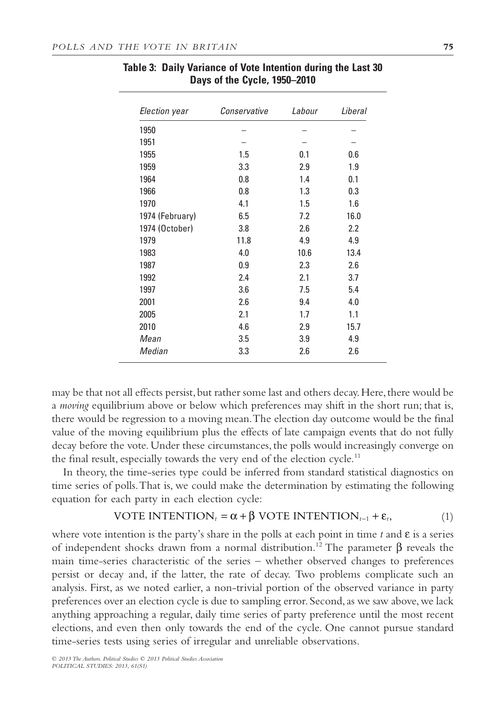| Election year   | Conservative | Labour | Liberal |
|-----------------|--------------|--------|---------|
| 1950            |              |        |         |
| 1951            |              |        |         |
| 1955            | 1.5          | 0.1    | 0.6     |
| 1959            | 3.3          | 2.9    | 1.9     |
| 1964            | 0.8          | 1.4    | 0.1     |
| 1966            | 0.8          | 1.3    | 0.3     |
| 1970            | 4.1          | 1.5    | 1.6     |
| 1974 (February) | 6.5          | 7.2    | 16.0    |
| 1974 (October)  | 3.8          | 2.6    | 2.2     |
| 1979            | 11.8         | 4.9    | 4.9     |
| 1983            | 4.0          | 10.6   | 13.4    |
| 1987            | 0.9          | 2.3    | 2.6     |
| 1992            | 2.4          | 2.1    | 3.7     |
| 1997            | 3.6          | 7.5    | 5.4     |
| 2001            | 2.6          | 9.4    | 4.0     |
| 2005            | 2.1          | 1.7    | 1.1     |
| 2010            | 4.6          | 2.9    | 15.7    |
| Mean            | 3.5          | 3.9    | 4.9     |
| Median          | 3.3          | 2.6    | 2.6     |

**Table 3: Daily Variance of Vote Intention during the Last 30 Days of the Cycle, 1950–2010**

may be that not all effects persist, but rather some last and others decay. Here, there would be a *moving* equilibrium above or below which preferences may shift in the short run; that is, there would be regression to a moving mean.The election day outcome would be the final value of the moving equilibrium plus the effects of late campaign events that do not fully decay before the vote. Under these circumstances, the polls would increasingly converge on the final result, especially towards the very end of the election cycle.<sup>11</sup>

In theory, the time-series type could be inferred from standard statistical diagnostics on time series of polls.That is, we could make the determination by estimating the following equation for each party in each election cycle:

VOTE INTENTION<sub>t</sub> = 
$$
\alpha + \beta
$$
 VOTE INTENTION<sub>t-1</sub> +  $\varepsilon_t$ , (1)

where vote intention is the party's share in the polls at each point in time  $t$  and  $\epsilon$  is a series of independent shocks drawn from a normal distribution.<sup>12</sup> The parameter  $\beta$  reveals the main time-series characteristic of the series – whether observed changes to preferences persist or decay and, if the latter, the rate of decay. Two problems complicate such an analysis. First, as we noted earlier, a non-trivial portion of the observed variance in party preferences over an election cycle is due to sampling error.Second,as we saw above,we lack anything approaching a regular, daily time series of party preference until the most recent elections, and even then only towards the end of the cycle. One cannot pursue standard time-series tests using series of irregular and unreliable observations.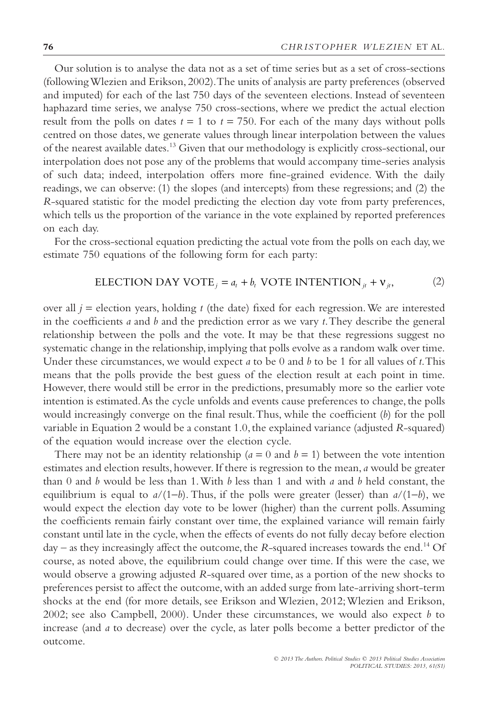Our solution is to analyse the data not as a set of time series but as a set of cross-sections (followingWlezien and Erikson, 2002).The units of analysis are party preferences (observed and imputed) for each of the last 750 days of the seventeen elections. Instead of seventeen haphazard time series, we analyse 750 cross-sections, where we predict the actual election result from the polls on dates  $t = 1$  to  $t = 750$ . For each of the many days without polls centred on those dates, we generate values through linear interpolation between the values of the nearest available dates.13 Given that our methodology is explicitly cross-sectional, our interpolation does not pose any of the problems that would accompany time-series analysis of such data; indeed, interpolation offers more fine-grained evidence. With the daily readings, we can observe: (1) the slopes (and intercepts) from these regressions; and (2) the *R*-squared statistic for the model predicting the election day vote from party preferences, which tells us the proportion of the variance in the vote explained by reported preferences on each day.

For the cross-sectional equation predicting the actual vote from the polls on each day, we estimate 750 equations of the following form for each party:

## ELECTION DAY VOTE  $_i = a_t + b_t$  VOTE INTENTION  $_i + v_i$ , (2)

over all *j* = election years, holding *t* (the date) fixed for each regression.We are interested in the coefficients *a* and *b* and the prediction error as we vary *t*.They describe the general relationship between the polls and the vote. It may be that these regressions suggest no systematic change in the relationship,implying that polls evolve as a random walk over time. Under these circumstances, we would expect  $a$  to be 0 and  $b$  to be 1 for all values of  $t$ . This means that the polls provide the best guess of the election result at each point in time. However, there would still be error in the predictions, presumably more so the earlier vote intention is estimated.As the cycle unfolds and events cause preferences to change, the polls would increasingly converge on the final result.Thus, while the coefficient (*b*) for the poll variable in Equation 2 would be a constant 1.0,the explained variance (adjusted *R*-squared) of the equation would increase over the election cycle.

There may not be an identity relationship ( $a = 0$  and  $b = 1$ ) between the vote intention estimates and election results, however. If there is regression to the mean, *a* would be greater than 0 and *b* would be less than 1.With *b* less than 1 and with *a* and *b* held constant, the equilibrium is equal to  $a/(1-b)$ . Thus, if the polls were greater (lesser) than  $a/(1-b)$ , we would expect the election day vote to be lower (higher) than the current polls. Assuming the coefficients remain fairly constant over time, the explained variance will remain fairly constant until late in the cycle, when the effects of events do not fully decay before election day – as they increasingly affect the outcome, the *R*-squared increases towards the end.<sup>14</sup> Of course, as noted above, the equilibrium could change over time. If this were the case, we would observe a growing adjusted *R*-squared over time, as a portion of the new shocks to preferences persist to affect the outcome,with an added surge from late-arriving short-term shocks at the end (for more details, see Erikson and Wlezien, 2012;Wlezien and Erikson, 2002; see also Campbell, 2000). Under these circumstances, we would also expect *b* to increase (and *a* to decrease) over the cycle, as later polls become a better predictor of the outcome.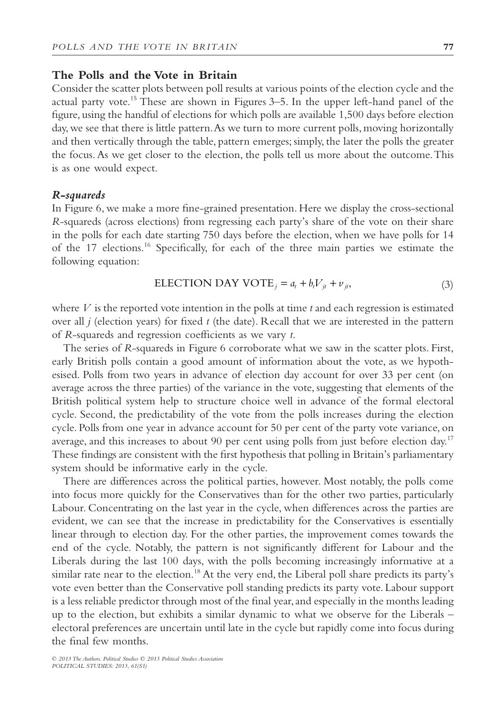## **The Polls and the Vote in Britain**

Consider the scatter plots between poll results at various points of the election cycle and the actual party vote.<sup>15</sup> These are shown in Figures  $3-5$ . In the upper left-hand panel of the figure, using the handful of elections for which polls are available 1,500 days before election day, we see that there is little pattern. As we turn to more current polls, moving horizontally and then vertically through the table, pattern emerges; simply, the later the polls the greater the focus. As we get closer to the election, the polls tell us more about the outcome.This is as one would expect.

## *R-squareds*

In Figure 6, we make a more fine-grained presentation. Here we display the cross-sectional *R*-squareds (across elections) from regressing each party's share of the vote on their share in the polls for each date starting 750 days before the election, when we have polls for 14 of the 17 elections.16 Specifically, for each of the three main parties we estimate the following equation:

$$
ELECTION DAY VOTEj = at + biVjt + vjt,
$$
\n(3)

where *V* is the reported vote intention in the polls at time *t* and each regression is estimated over all *j* (election years) for fixed *t* (the date). Recall that we are interested in the pattern of *R*-squareds and regression coefficients as we vary *t*.

The series of *R*-squareds in Figure 6 corroborate what we saw in the scatter plots. First, early British polls contain a good amount of information about the vote, as we hypothesised. Polls from two years in advance of election day account for over 33 per cent (on average across the three parties) of the variance in the vote, suggesting that elements of the British political system help to structure choice well in advance of the formal electoral cycle. Second, the predictability of the vote from the polls increases during the election cycle. Polls from one year in advance account for 50 per cent of the party vote variance, on average, and this increases to about 90 per cent using polls from just before election day.<sup>17</sup> These findings are consistent with the first hypothesis that polling in Britain's parliamentary system should be informative early in the cycle.

There are differences across the political parties, however. Most notably, the polls come into focus more quickly for the Conservatives than for the other two parties, particularly Labour. Concentrating on the last year in the cycle, when differences across the parties are evident, we can see that the increase in predictability for the Conservatives is essentially linear through to election day. For the other parties, the improvement comes towards the end of the cycle. Notably, the pattern is not significantly different for Labour and the Liberals during the last 100 days, with the polls becoming increasingly informative at a similar rate near to the election.<sup>18</sup> At the very end, the Liberal poll share predicts its party's vote even better than the Conservative poll standing predicts its party vote. Labour support is a less reliable predictor through most of the final year, and especially in the months leading up to the election, but exhibits a similar dynamic to what we observe for the Liberals – electoral preferences are uncertain until late in the cycle but rapidly come into focus during the final few months.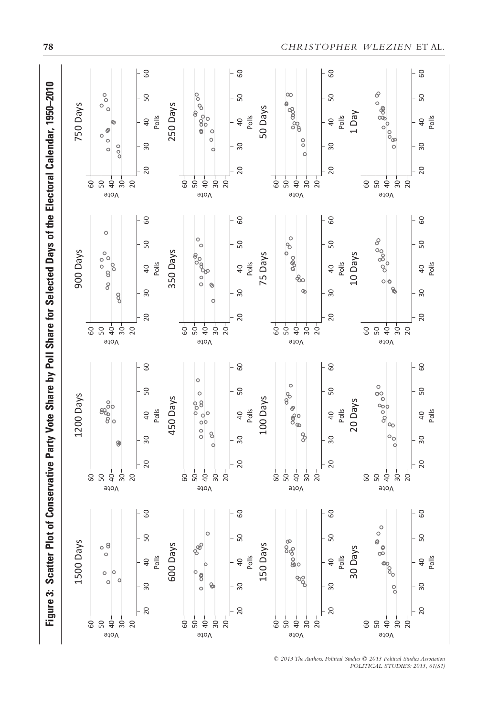

*<sup>© 2013</sup> The Authors. Political Studies © 2013 Political Studies Association POLITICAL STUDIES: 2013, 61(S1)*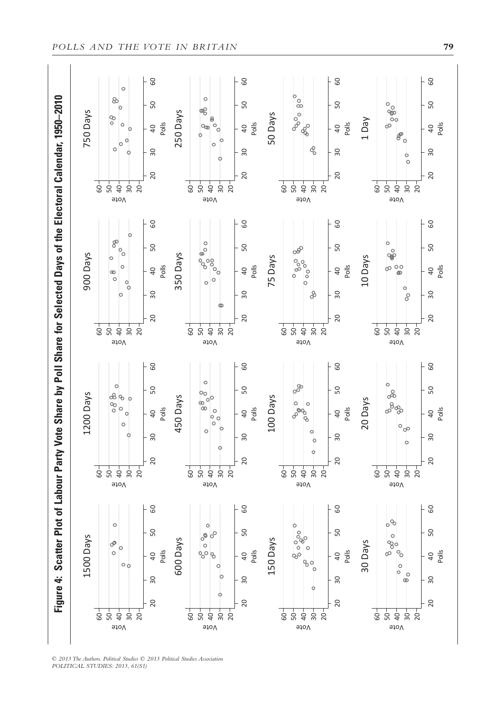| Vote<br>010 <sub>0</sub><br>Vote<br>Vote<br>60<br>60<br>60<br>$\circ$<br>ீ<br>$\circ$<br>$\circ$<br>50<br>50<br>50<br>$69^{\circ}$<br>$\circ_{\circ}$<br>$\overline{\mathbf{e}}$<br>မိ<br>350 Days<br>75 Days<br>10 Days<br>$\circ$<br>$\frac{8}{3}$<br>8000<br>$\frac{1}{\sqrt{2}}\frac{1}{\sqrt{2}}$<br>Polls<br>Polls<br>Polls<br>ဖ စံ့<br>O<br>$\overline{a}$<br>$\overline{a}$<br>$\overline{40}$<br>$\frac{1}{\infty}$<br>$\circ$<br>$\circ$<br>$\circ$<br>Ó<br>$\circ$<br>30<br>30<br>30<br>8<br>O<br>$\delta$<br>℗<br>20<br>20<br>20<br>$-0-$<br>$20 -$<br>$50 -$<br>$40 -$<br>$30 -$<br>$20 -$<br>$60 -$<br>$30 -$<br>$20 -$<br>$60 -$<br>$50 -$<br>$40 -$<br>$30 -$<br>$50 -$<br>$rac{1}{4}$<br>$-40 -$<br>$-00$<br>$-0.5$<br>$-50$<br>Vote<br>Vote<br>Vote<br>Vote<br>$60\,$<br>60<br>$60\,$<br>$\circ$<br>$\circ$<br>$\circ$<br>$60^{\circ}$<br>50<br>50<br>50<br>8<br>$60^{\circ}$<br>$\begin{array}{c}\n\circ & \circ \\ \circ & \circ \\ \circ & \circ\n\end{array}$<br>450 Days<br>100 Days<br>20 Days<br>$\overline{8}$<br>$\circ$<br>$\circ$<br>ಕಿತ್ಯ<br><b>POD</b><br>Polls<br>Polls<br>Polls<br>$\circ$<br>$\overline{0}$<br>40<br>$\overline{40}$<br>$\circ$<br>$\circ$<br>$\circ$<br>$\circ$<br>$\circ$<br>$\circ_{\phi}$<br>$\circ$<br>$\circ$<br>$\circ$<br>$\circ$<br>30<br>30<br>30<br>$\circ$<br>$\circ$ |
|-------------------------------------------------------------------------------------------------------------------------------------------------------------------------------------------------------------------------------------------------------------------------------------------------------------------------------------------------------------------------------------------------------------------------------------------------------------------------------------------------------------------------------------------------------------------------------------------------------------------------------------------------------------------------------------------------------------------------------------------------------------------------------------------------------------------------------------------------------------------------------------------------------------------------------------------------------------------------------------------------------------------------------------------------------------------------------------------------------------------------------------------------------------------------------------------------------------------------------------------------------------------------------------------------------------------------------------|
|                                                                                                                                                                                                                                                                                                                                                                                                                                                                                                                                                                                                                                                                                                                                                                                                                                                                                                                                                                                                                                                                                                                                                                                                                                                                                                                                     |
| $\circ$                                                                                                                                                                                                                                                                                                                                                                                                                                                                                                                                                                                                                                                                                                                                                                                                                                                                                                                                                                                                                                                                                                                                                                                                                                                                                                                             |
|                                                                                                                                                                                                                                                                                                                                                                                                                                                                                                                                                                                                                                                                                                                                                                                                                                                                                                                                                                                                                                                                                                                                                                                                                                                                                                                                     |
| Ó                                                                                                                                                                                                                                                                                                                                                                                                                                                                                                                                                                                                                                                                                                                                                                                                                                                                                                                                                                                                                                                                                                                                                                                                                                                                                                                                   |
|                                                                                                                                                                                                                                                                                                                                                                                                                                                                                                                                                                                                                                                                                                                                                                                                                                                                                                                                                                                                                                                                                                                                                                                                                                                                                                                                     |
|                                                                                                                                                                                                                                                                                                                                                                                                                                                                                                                                                                                                                                                                                                                                                                                                                                                                                                                                                                                                                                                                                                                                                                                                                                                                                                                                     |
|                                                                                                                                                                                                                                                                                                                                                                                                                                                                                                                                                                                                                                                                                                                                                                                                                                                                                                                                                                                                                                                                                                                                                                                                                                                                                                                                     |
|                                                                                                                                                                                                                                                                                                                                                                                                                                                                                                                                                                                                                                                                                                                                                                                                                                                                                                                                                                                                                                                                                                                                                                                                                                                                                                                                     |
|                                                                                                                                                                                                                                                                                                                                                                                                                                                                                                                                                                                                                                                                                                                                                                                                                                                                                                                                                                                                                                                                                                                                                                                                                                                                                                                                     |
| $20 -$                                                                                                                                                                                                                                                                                                                                                                                                                                                                                                                                                                                                                                                                                                                                                                                                                                                                                                                                                                                                                                                                                                                                                                                                                                                                                                                              |

*POLLS AND THE VOTE IN BRITAIN* **79**

*© 2013 The Authors. Political Studies © 2013 Political Studies Association POLITICAL STUDIES: 2013, 61(S1)*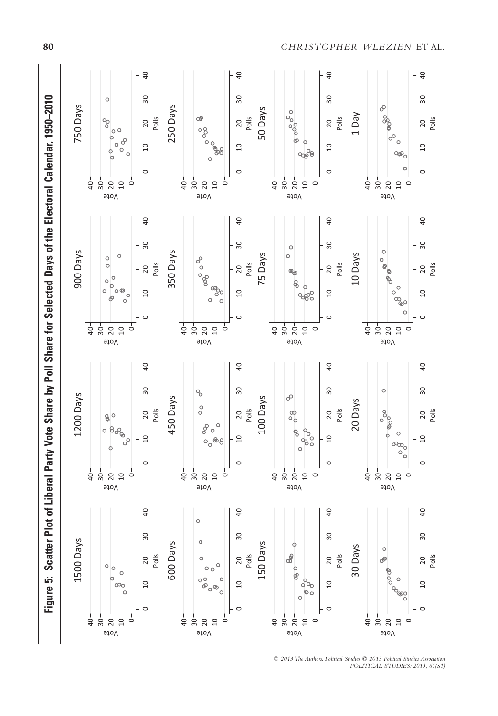

*<sup>© 2013</sup> The Authors. Political Studies © 2013 Political Studies Association POLITICAL STUDIES: 2013, 61(S1)*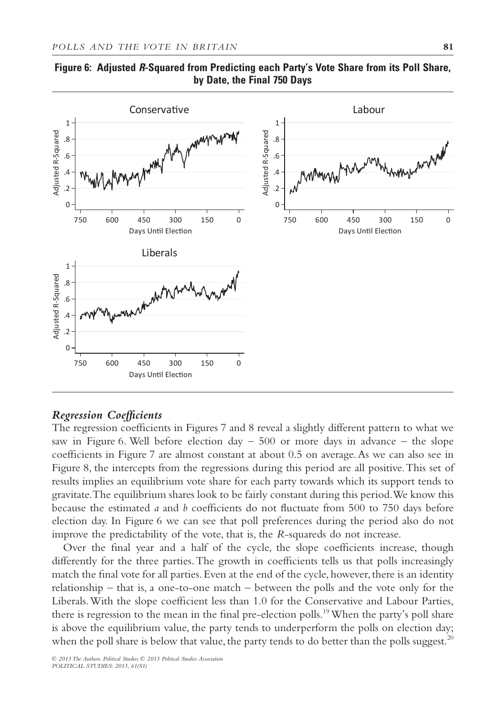

# **Figure 6: Adjusted** *R***-Squared from Predicting each Party's Vote Share from its Poll Share, by Date, the Final 750 Days**

#### *Regression Coefficients*

The regression coefficients in Figures 7 and 8 reveal a slightly different pattern to what we saw in Figure 6. Well before election day  $-500$  or more days in advance  $-$  the slope coefficients in Figure 7 are almost constant at about 0.5 on average. As we can also see in Figure 8, the intercepts from the regressions during this period are all positive.This set of results implies an equilibrium vote share for each party towards which its support tends to gravitate.The equilibrium shares look to be fairly constant during this period.We know this because the estimated *a* and *b* coefficients do not fluctuate from 500 to 750 days before election day. In Figure 6 we can see that poll preferences during the period also do not improve the predictability of the vote, that is, the *R*-squareds do not increase.

Over the final year and a half of the cycle, the slope coefficients increase, though differently for the three parties. The growth in coefficients tells us that polls increasingly match the final vote for all parties. Even at the end of the cycle, however, there is an identity relationship – that is, a one-to-one match – between the polls and the vote only for the Liberals.With the slope coefficient less than 1.0 for the Conservative and Labour Parties, there is regression to the mean in the final pre-election polls.<sup>19</sup>When the party's poll share is above the equilibrium value, the party tends to underperform the polls on election day; when the poll share is below that value, the party tends to do better than the polls suggest.<sup>20</sup>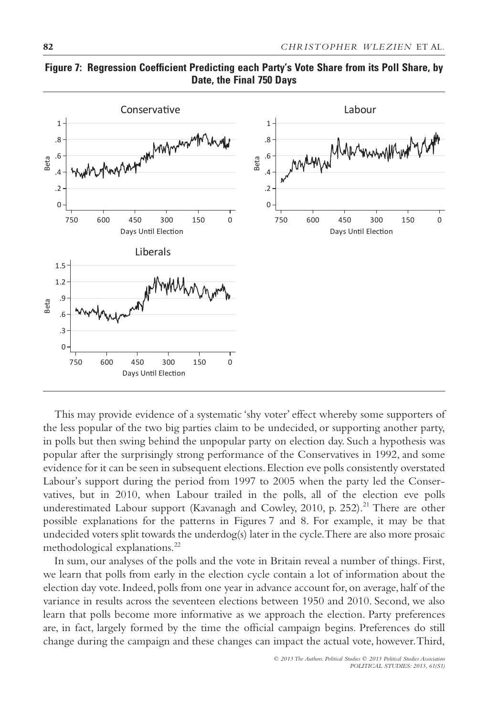



This may provide evidence of a systematic 'shy voter' effect whereby some supporters of the less popular of the two big parties claim to be undecided, or supporting another party, in polls but then swing behind the unpopular party on election day. Such a hypothesis was popular after the surprisingly strong performance of the Conservatives in 1992, and some evidence for it can be seen in subsequent elections.Election eve polls consistently overstated Labour's support during the period from 1997 to 2005 when the party led the Conservatives, but in 2010, when Labour trailed in the polls, all of the election eve polls underestimated Labour support (Kavanagh and Cowley, 2010, p. 252).<sup>21</sup> There are other possible explanations for the patterns in Figures 7 and 8. For example, it may be that undecided voters split towards the underdog(s) later in the cycle.There are also more prosaic methodological explanations.<sup>22</sup>

In sum, our analyses of the polls and the vote in Britain reveal a number of things. First, we learn that polls from early in the election cycle contain a lot of information about the election day vote. Indeed, polls from one year in advance account for, on average, half of the variance in results across the seventeen elections between 1950 and 2010. Second, we also learn that polls become more informative as we approach the election. Party preferences are, in fact, largely formed by the time the official campaign begins. Preferences do still change during the campaign and these changes can impact the actual vote, however.Third,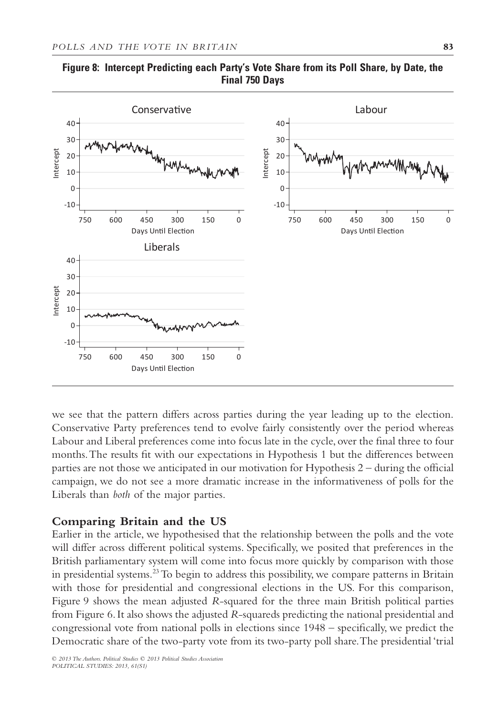

# **Figure 8: Intercept Predicting each Party's Vote Share from its Poll Share, by Date, the Final 750 Days**

we see that the pattern differs across parties during the year leading up to the election. Conservative Party preferences tend to evolve fairly consistently over the period whereas Labour and Liberal preferences come into focus late in the cycle, over the final three to four months.The results fit with our expectations in Hypothesis 1 but the differences between parties are not those we anticipated in our motivation for Hypothesis 2 – during the official campaign, we do not see a more dramatic increase in the informativeness of polls for the Liberals than *both* of the major parties.

## **Comparing Britain and the US**

Earlier in the article, we hypothesised that the relationship between the polls and the vote will differ across different political systems. Specifically, we posited that preferences in the British parliamentary system will come into focus more quickly by comparison with those in presidential systems.<sup>23</sup> To begin to address this possibility, we compare patterns in Britain with those for presidential and congressional elections in the US. For this comparison, Figure 9 shows the mean adjusted *R*-squared for the three main British political parties from Figure 6.It also shows the adjusted *R*-squareds predicting the national presidential and congressional vote from national polls in elections since 1948 – specifically, we predict the Democratic share of the two-party vote from its two-party poll share.The presidential 'trial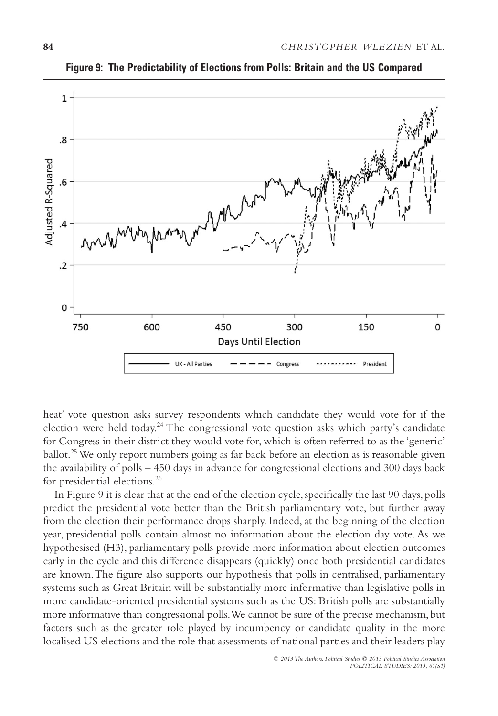

**Figure 9: The Predictability of Elections from Polls: Britain and the US Compared**

heat' vote question asks survey respondents which candidate they would vote for if the election were held today.<sup>24</sup> The congressional vote question asks which party's candidate for Congress in their district they would vote for, which is often referred to as the 'generic' ballot.25We only report numbers going as far back before an election as is reasonable given the availability of polls – 450 days in advance for congressional elections and 300 days back for presidential elections.<sup>26</sup>

In Figure 9 it is clear that at the end of the election cycle, specifically the last 90 days, polls predict the presidential vote better than the British parliamentary vote, but further away from the election their performance drops sharply. Indeed, at the beginning of the election year, presidential polls contain almost no information about the election day vote. As we hypothesised (H3), parliamentary polls provide more information about election outcomes early in the cycle and this difference disappears (quickly) once both presidential candidates are known.The figure also supports our hypothesis that polls in centralised, parliamentary systems such as Great Britain will be substantially more informative than legislative polls in more candidate-oriented presidential systems such as the US: British polls are substantially more informative than congressional polls. We cannot be sure of the precise mechanism, but factors such as the greater role played by incumbency or candidate quality in the more localised US elections and the role that assessments of national parties and their leaders play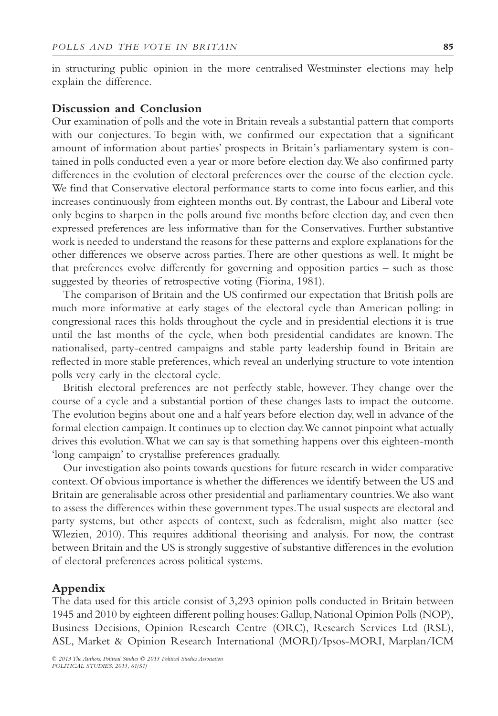in structuring public opinion in the more centralised Westminster elections may help explain the difference.

## **Discussion and Conclusion**

Our examination of polls and the vote in Britain reveals a substantial pattern that comports with our conjectures. To begin with, we confirmed our expectation that a significant amount of information about parties' prospects in Britain's parliamentary system is contained in polls conducted even a year or more before election day.We also confirmed party differences in the evolution of electoral preferences over the course of the election cycle. We find that Conservative electoral performance starts to come into focus earlier, and this increases continuously from eighteen months out. By contrast, the Labour and Liberal vote only begins to sharpen in the polls around five months before election day, and even then expressed preferences are less informative than for the Conservatives. Further substantive work is needed to understand the reasons for these patterns and explore explanations for the other differences we observe across parties.There are other questions as well. It might be that preferences evolve differently for governing and opposition parties – such as those suggested by theories of retrospective voting (Fiorina, 1981).

The comparison of Britain and the US confirmed our expectation that British polls are much more informative at early stages of the electoral cycle than American polling: in congressional races this holds throughout the cycle and in presidential elections it is true until the last months of the cycle, when both presidential candidates are known. The nationalised, party-centred campaigns and stable party leadership found in Britain are reflected in more stable preferences, which reveal an underlying structure to vote intention polls very early in the electoral cycle.

British electoral preferences are not perfectly stable, however. They change over the course of a cycle and a substantial portion of these changes lasts to impact the outcome. The evolution begins about one and a half years before election day, well in advance of the formal election campaign.It continues up to election day.We cannot pinpoint what actually drives this evolution.What we can say is that something happens over this eighteen-month 'long campaign' to crystallise preferences gradually.

Our investigation also points towards questions for future research in wider comparative context. Of obvious importance is whether the differences we identify between the US and Britain are generalisable across other presidential and parliamentary countries.We also want to assess the differences within these government types.The usual suspects are electoral and party systems, but other aspects of context, such as federalism, might also matter (see Wlezien, 2010). This requires additional theorising and analysis. For now, the contrast between Britain and the US is strongly suggestive of substantive differences in the evolution of electoral preferences across political systems.

## **Appendix**

The data used for this article consist of 3,293 opinion polls conducted in Britain between 1945 and 2010 by eighteen different polling houses:Gallup,National Opinion Polls (NOP), Business Decisions, Opinion Research Centre (ORC), Research Services Ltd (RSL), ASL, Market & Opinion Research International (MORI)/Ipsos-MORI, Marplan/ICM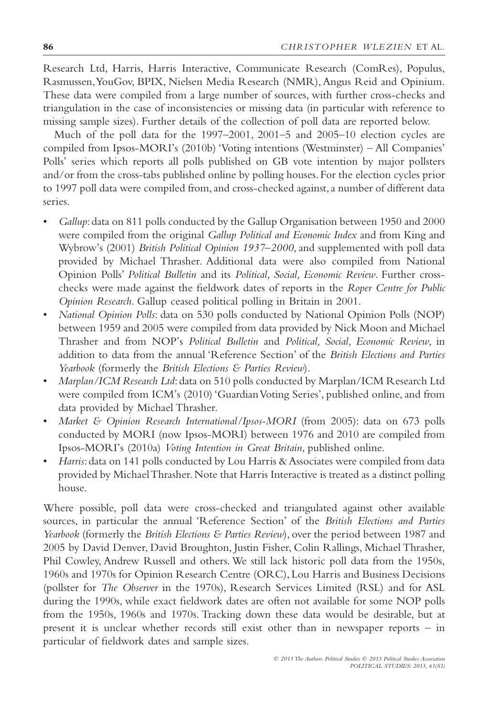Research Ltd, Harris, Harris Interactive, Communicate Research (ComRes), Populus, Rasmussen,YouGov, BPIX, Nielsen Media Research (NMR), Angus Reid and Opinium. These data were compiled from a large number of sources, with further cross-checks and triangulation in the case of inconsistencies or missing data (in particular with reference to missing sample sizes). Further details of the collection of poll data are reported below.

Much of the poll data for the 1997–2001, 2001–5 and 2005–10 election cycles are compiled from Ipsos-MORI's (2010b) 'Voting intentions (Westminster) – All Companies' Polls' series which reports all polls published on GB vote intention by major pollsters and/or from the cross-tabs published online by polling houses. For the election cycles prior to 1997 poll data were compiled from, and cross-checked against, a number of different data series.

- *Gallup*: data on 811 polls conducted by the Gallup Organisation between 1950 and 2000 were compiled from the original *Gallup Political and Economic Index* and from King and Wybrow's (2001) *British Political Opinion 1937–2000*, and supplemented with poll data provided by Michael Thrasher. Additional data were also compiled from National Opinion Polls' *Political Bulletin* and its *Political, Social, Economic Review*. Further crosschecks were made against the fieldwork dates of reports in the *Roper Centre for Public Opinion Research*. Gallup ceased political polling in Britain in 2001.
- *National Opinion Polls*: data on 530 polls conducted by National Opinion Polls (NOP) between 1959 and 2005 were compiled from data provided by Nick Moon and Michael Thrasher and from NOP's *Political Bulletin* and *Political, Social, Economic Review*, in addition to data from the annual 'Reference Section' of the *British Elections and Parties Yearbook* (formerly the *British Elections & Parties Review*).
- *Marplan*/ICM Research Ltd: data on 510 polls conducted by Marplan/ICM Research Ltd were compiled from ICM's (2010) 'GuardianVoting Series', published online, and from data provided by Michael Thrasher.
- *Market & Opinion Research International/Ipsos-MORI* (from 2005): data on 673 polls conducted by MORI (now Ipsos-MORI) between 1976 and 2010 are compiled from Ipsos-MORI's (2010a) *Voting Intention in Great Britain*, published online.
- Harris: data on 141 polls conducted by Lou Harris & Associates were compiled from data provided by MichaelThrasher.Note that Harris Interactive is treated as a distinct polling house.

Where possible, poll data were cross-checked and triangulated against other available sources, in particular the annual 'Reference Section' of the *British Elections and Parties Yearbook* (formerly the *British Elections & Parties Review*), over the period between 1987 and 2005 by David Denver, David Broughton, Justin Fisher, Colin Rallings, Michael Thrasher, Phil Cowley, Andrew Russell and others. We still lack historic poll data from the 1950s, 1960s and 1970s for Opinion Research Centre (ORC), Lou Harris and Business Decisions (pollster for *The Observer* in the 1970s), Research Services Limited (RSL) and for ASL during the 1990s, while exact fieldwork dates are often not available for some NOP polls from the 1950s, 1960s and 1970s. Tracking down these data would be desirable, but at present it is unclear whether records still exist other than in newspaper reports – in particular of fieldwork dates and sample sizes.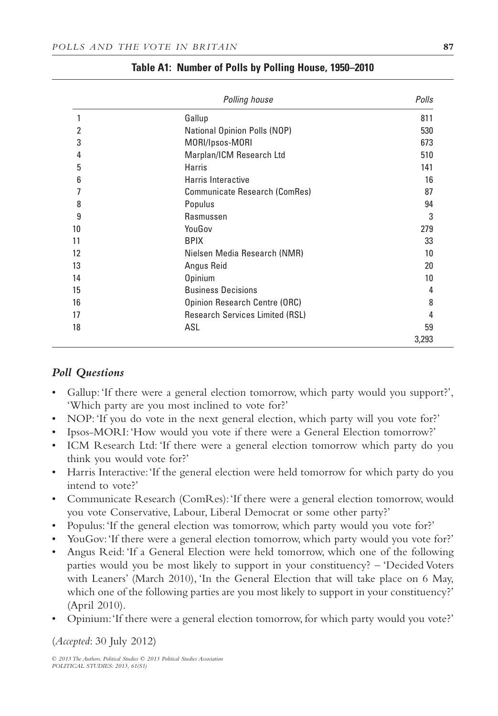| <b>Polling house</b> |                                        | Polls |  |
|----------------------|----------------------------------------|-------|--|
| 1                    | Gallup                                 | 811   |  |
| 2                    | National Opinion Polls (NOP)           | 530   |  |
| 3                    | MORI/Ipsos-MORI                        | 673   |  |
| 4                    | Marplan/ICM Research Ltd               | 510   |  |
| 5                    | Harris                                 | 141   |  |
| 6                    | Harris Interactive                     | 16    |  |
| 7                    | Communicate Research (ComRes)          | 87    |  |
| 8                    | Populus                                | 94    |  |
| 9                    | Rasmussen                              | 3     |  |
| 10                   | YouGov                                 | 279   |  |
| 11                   | <b>BPIX</b>                            | 33    |  |
| 12                   | Nielsen Media Research (NMR)           | 10    |  |
| 13                   | Angus Reid                             | 20    |  |
| 14                   | <b>Opinium</b>                         | 10    |  |
| 15                   | <b>Business Decisions</b>              | 4     |  |
| 16                   | <b>Opinion Research Centre (ORC)</b>   | 8     |  |
| 17                   | <b>Research Services Limited (RSL)</b> | 4     |  |
| 18                   | ASL                                    | 59    |  |
|                      |                                        | 3,293 |  |

## **Table A1: Number of Polls by Polling House, 1950–2010**

# *Poll Questions*

- Gallup: 'If there were a general election tomorrow, which party would you support?', 'Which party are you most inclined to vote for?'
- NOP:'If you do vote in the next general election, which party will you vote for?'
- Ipsos-MORI:'How would you vote if there were a General Election tomorrow?'
- ICM Research Ltd: 'If there were a general election tomorrow which party do you think you would vote for?'
- Harris Interactive: If the general election were held tomorrow for which party do you intend to vote?'
- Communicate Research (ComRes):'If there were a general election tomorrow, would you vote Conservative, Labour, Liberal Democrat or some other party?'
- Populus:'If the general election was tomorrow, which party would you vote for?'
- YouGov:'If there were a general election tomorrow, which party would you vote for?'
- Angus Reid: 'If a General Election were held tomorrow, which one of the following parties would you be most likely to support in your constituency? – 'Decided Voters with Leaners' (March 2010), 'In the General Election that will take place on 6 May, which one of the following parties are you most likely to support in your constituency?' (April 2010).
- Opinium:'If there were a general election tomorrow, for which party would you vote?'

(*Accepted*: 30 July 2012)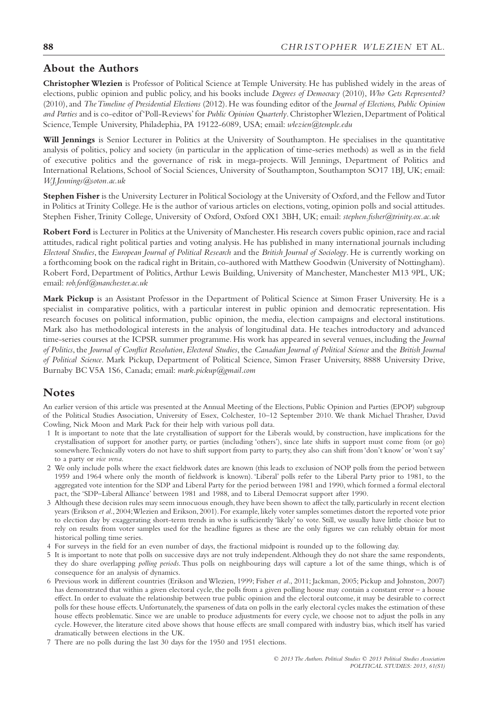#### **About the Authors**

**Christopher Wlezien** is Professor of Political Science at Temple University. He has published widely in the areas of elections, public opinion and public policy, and his books include *Degrees of Democracy* (2010), *Who Gets Represented?* (2010), and *TheTimeline of Presidential Elections* (2012). He was founding editor of the *Journal of Elections, Public Opinion and Parties* and is co-editor of'Poll-Reviews'for *Public Opinion Quarterly*.ChristopherWlezien,Department of Political Science,Temple University, Philadephia, PA 19122-6089, USA; email: *wlezien@temple.edu*

Will Jennings is Senior Lecturer in Politics at the University of Southampton. He specialises in the quantitative analysis of politics, policy and society (in particular in the application of time-series methods) as well as in the field of executive politics and the governance of risk in mega-projects. Will Jennings, Department of Politics and International Relations, School of Social Sciences, University of Southampton, Southampton SO17 1BJ, UK; email: *W.J.Jennings@soton.ac.uk*

**Stephen Fisher** is the University Lecturer in Political Sociology at the University of Oxford,and the Fellow andTutor in Politics atTrinity College. He is the author of various articles on elections, voting, opinion polls and social attitudes. Stephen Fisher,Trinity College, University of Oxford, Oxford OX1 3BH, UK; email: *stephen.fisher@trinity.ox.ac.uk*

**Robert Ford** is Lecturer in Politics at the University of Manchester. His research covers public opinion, race and racial attitudes, radical right political parties and voting analysis. He has published in many international journals including *Electoral Studies*, the *European Journal of Political Research* and the *British Journal of Sociology*. He is currently working on a forthcoming book on the radical right in Britain, co-authored with Matthew Goodwin (University of Nottingham). Robert Ford, Department of Politics, Arthur Lewis Building, University of Manchester, Manchester M13 9PL, UK; email: *rob.ford@manchester.ac.uk*

**Mark Pickup** is an Assistant Professor in the Department of Political Science at Simon Fraser University. He is a specialist in comparative politics, with a particular interest in public opinion and democratic representation. His research focuses on political information, public opinion, the media, election campaigns and electoral institutions. Mark also has methodological interests in the analysis of longitudinal data. He teaches introductory and advanced time-series courses at the ICPSR summer programme. His work has appeared in several venues, including the *Journal of Politics*, the *Journal of Conflict Resolution*, *Electoral Studies*, the *Canadian Journal of Political Science* and the *British Journal of Political Science*. Mark Pickup, Department of Political Science, Simon Fraser University, 8888 University Drive, Burnaby BC V5A 1S6, Canada; email: *mark.pickup@gmail.com*

## **Notes**

An earlier version of this article was presented at the Annual Meeting of the Elections, Public Opinion and Parties (EPOP) subgroup of the Political Studies Association, University of Essex, Colchester, 10–12 September 2010. We thank Michael Thrasher, David Cowling, Nick Moon and Mark Pack for their help with various poll data.

- 1 It is important to note that the late crystallisation of support for the Liberals would, by construction, have implications for the crystallisation of support for another party, or parties (including 'others'), since late shifts in support must come from (or go) somewhere.Technically voters do not have to shift support from party to party, they also can shift from 'don't know' or 'won't say' to a party or *vice versa*.
- 2 We only include polls where the exact fieldwork dates are known (this leads to exclusion of NOP polls from the period between 1959 and 1964 where only the month of fieldwork is known). 'Liberal' polls refer to the Liberal Party prior to 1981, to the aggregated vote intention for the SDP and Liberal Party for the period between 1981 and 1990, which formed a formal electoral pact, the 'SDP–Liberal Alliance' between 1981 and 1988, and to Liberal Democrat support after 1990.
- 3 Although these decision rules may seem innocuous enough, they have been shown to affect the tally, particularly in recent election years (Erikson *et al*., 2004;Wlezien and Erikson, 2001). For example, likely voter samples sometimes distort the reported vote prior to election day by exaggerating short-term trends in who is sufficiently 'likely' to vote. Still, we usually have little choice but to rely on results from voter samples used for the headline figures as these are the only figures we can reliably obtain for most historical polling time series.
- 4 For surveys in the field for an even number of days, the fractional midpoint is rounded up to the following day.
- 5 It is important to note that polls on successive days are not truly independent.Although they do not share the same respondents, they do share overlapping *polling periods*. Thus polls on neighbouring days will capture a lot of the same things, which is of consequence for an analysis of dynamics.
- 6 Previous work in different countries (Erikson and Wlezien, 1999; Fisher *et al*., 2011; Jackman, 2005; Pickup and Johnston, 2007) has demonstrated that within a given electoral cycle, the polls from a given polling house may contain a constant error – a house effect. In order to evaluate the relationship between true public opinion and the electoral outcome, it may be desirable to correct polls for these house effects. Unfortunately, the sparseness of data on polls in the early electoral cycles makes the estimation of these house effects problematic. Since we are unable to produce adjustments for every cycle, we choose not to adjust the polls in any cycle. However, the literature cited above shows that house effects are small compared with industry bias, which itself has varied dramatically between elections in the UK.
- 7 There are no polls during the last 30 days for the 1950 and 1951 elections.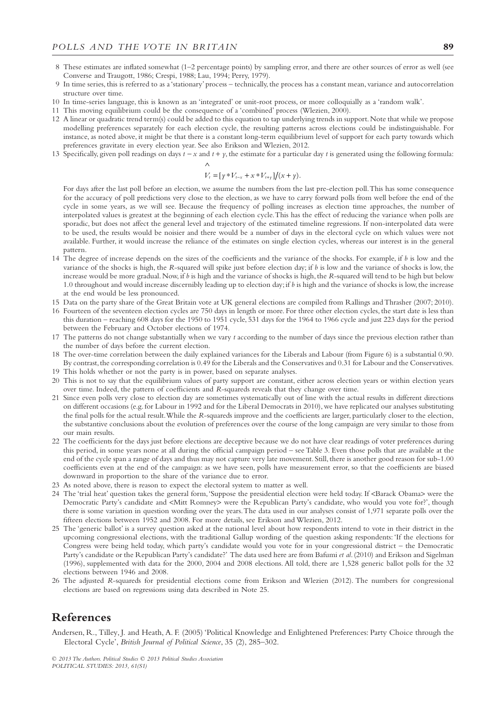- 8 These estimates are inflated somewhat (1–2 percentage points) by sampling error, and there are other sources of error as well (see Converse and Traugott, 1986; Crespi, 1988; Lau, 1994; Perry, 1979).
- 9 In time series, this is referred to as a 'stationary' process technically, the process has a constant mean, variance and autocorrelation structure over time.
- 10 In time-series language, this is known as an 'integrated' or unit-root process, or more colloquially as a 'random walk'.
- 11 This moving equilibrium could be the consequence of a 'combined' process (Wlezien, 2000).

∧

- 12 A linear or quadratic trend term(s) could be added to this equation to tap underlying trends in support.Note that while we propose modelling preferences separately for each election cycle, the resulting patterns across elections could be indistinguishable. For instance, as noted above, it might be that there is a constant long-term equilibrium level of support for each party towards which preferences gravitate in every election year. See also Erikson and Wlezien, 2012.
- 13 Specifically, given poll readings on days  $t x$  and  $t + y$ , the estimate for a particular day *t* is generated using the following formula:

$$
V_t = [ \gamma * V_{t-x} + x * V_{t+y} ] / (x + y).
$$

For days after the last poll before an election, we assume the numbers from the last pre-election poll.This has some consequence for the accuracy of poll predictions very close to the election, as we have to carry forward polls from well before the end of the cycle in some years, as we will see. Because the frequency of polling increases as election time approaches, the number of interpolated values is greatest at the beginning of each election cycle.This has the effect of reducing the variance when polls are sporadic, but does not affect the general level and trajectory of the estimated timeline regressions. If non-interpolated data were to be used, the results would be noisier and there would be a number of days in the electoral cycle on which values were not available. Further, it would increase the reliance of the estimates on single election cycles, whereas our interest is in the general pattern.

- 14 The degree of increase depends on the sizes of the coefficients and the variance of the shocks. For example, if *b* is low and the variance of the shocks is high, the *R*-squared will spike just before election day; if *b* is low and the variance of shocks is low, the increase would be more gradual. Now, if *b* is high and the variance of shocks is high, the *R*-squared will tend to be high but below 1.0 throughout and would increase discernibly leading up to election day; if *b* is high and the variance of shocks is low, the increase at the end would be less pronounced.
- 15 Data on the party share of the Great Britain vote at UK general elections are compiled from Rallings and Thrasher (2007; 2010).
- 16 Fourteen of the seventeen election cycles are 750 days in length or more. For three other election cycles, the start date is less than this duration – reaching 608 days for the 1950 to 1951 cycle, 531 days for the 1964 to 1966 cycle and just 223 days for the period between the February and October elections of 1974.
- 17 The patterns do not change substantially when we vary *t* according to the number of days since the previous election rather than the number of days before the current election.
- 18 The over-time correlation between the daily explained variances for the Liberals and Labour (from Figure 6) is a substantial 0.90. By contrast, the corresponding correlation is 0.49 for the Liberals and the Conservatives and 0.31 for Labour and the Conservatives.
- 19 This holds whether or not the party is in power, based on separate analyses.
- 20 This is not to say that the equilibrium values of party support are constant, either across election years or within election years over time. Indeed, the pattern of coefficients and *R*-squareds reveals that they change over time.
- 21 Since even polls very close to election day are sometimes systematically out of line with the actual results in different directions on different occasions (e.g. for Labour in 1992 and for the Liberal Democrats in 2010), we have replicated our analyses substituting the final polls for the actual result.While the *R*-squareds improve and the coefficients are larger, particularly closer to the election, the substantive conclusions about the evolution of preferences over the course of the long campaign are very similar to those from our main results.
- 22 The coefficients for the days just before elections are deceptive because we do not have clear readings of voter preferences during this period, in some years none at all during the official campaign period – see Table 3. Even those polls that are available at the end of the cycle span a range of days and thus may not capture very late movement. Still, there is another good reason for sub-1.00 coefficients even at the end of the campaign: as we have seen, polls have measurement error, so that the coefficients are biased downward in proportion to the share of the variance due to error.
- 23 As noted above, there is reason to expect the electoral system to matter as well.
- 24 The 'trial heat' question takes the general form,'Suppose the presidential election were held today. If <Barack Obama> were the Democratic Party's candidate and <Mitt Romney> were the Republican Party's candidate, who would you vote for?', though there is some variation in question wording over the years.The data used in our analyses consist of 1,971 separate polls over the fifteen elections between 1952 and 2008. For more details, see Erikson and Wlezien, 2012.
- 25 The 'generic ballot' is a survey question asked at the national level about how respondents intend to vote in their district in the upcoming congressional elections, with the traditional Gallup wording of the question asking respondents: 'If the elections for Congress were being held today, which party's candidate would you vote for in your congressional district – the Democratic Party's candidate or the Republican Party's candidate?' The data used here are from Bafumi *et al*.(2010) and Erikson and Sigelman (1996), supplemented with data for the 2000, 2004 and 2008 elections. All told, there are 1,528 generic ballot polls for the 32 elections between 1946 and 2008.
- 26 The adjusted *R*-squareds for presidential elections come from Erikson and Wlezien (2012). The numbers for congressional elections are based on regressions using data described in Note 25.

## **References**

Andersen, R., Tilley, J. and Heath, A. F. (2005) 'Political Knowledge and Enlightened Preferences: Party Choice through the Electoral Cycle', *British Journal of Political Science*, 35 (2), 285–302.

*© 2013 The Authors. Political Studies © 2013 Political Studies Association POLITICAL STUDIES: 2013, 61(S1)*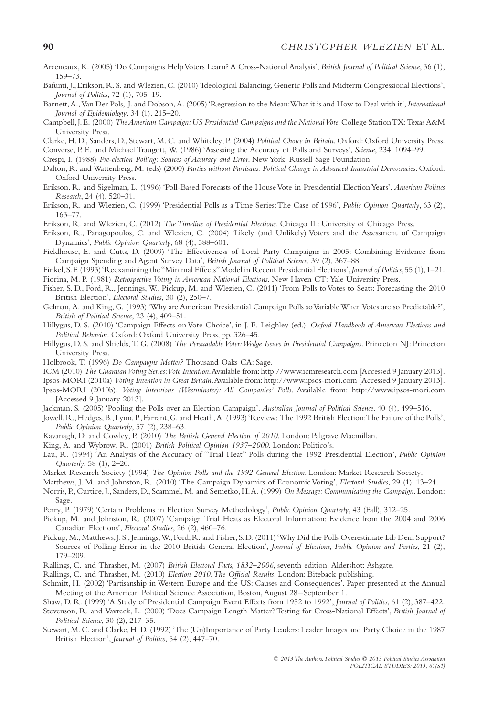- Arceneaux, K. (2005) 'Do Campaigns HelpVoters Learn? A Cross-National Analysis', *British Journal of Political Science*, 36 (1), 159–73.
- Bafumi, J., Erikson, R.S. and Wlezien, C. (2010) 'Ideological Balancing, Generic Polls and Midterm Congressional Elections', *Journal of Politics*, 72 (1), 705–19.
- Barnett,A.,Van Der Pols, J. and Dobson,A. (2005)'Regression to the Mean:What it is and How to Deal with it',*International Journal of Epidemiology*, 34 (1), 215–20.
- Campbell, J. E. (2000) *The American Campaign: US Presidential Campaigns and the National Vote*. College Station TX: Texas A&M University Press.
- Clarke, H. D., Sanders, D., Stewart, M. C. and Whiteley, P. (2004) *Political Choice in Britain*. Oxford: Oxford University Press. Converse, P. E. and Michael Traugott, W. (1986) 'Assessing the Accuracy of Polls and Surveys', *Science*, 234, 1094–99.
- Crespi, I. (1988) *Pre-election Polling: Sources of Accuracy and Error*. New York: Russell Sage Foundation.
- Dalton, R. and Wattenberg, M. (eds) (2000) *Parties without Partisans: Political Change in Advanced Industrial Democracies*. Oxford: Oxford University Press.
- Erikson, R. and Sigelman, L. (1996) 'Poll-Based Forecasts of the HouseVote in Presidential ElectionYears', *American Politics Research*, 24 (4), 520–31.
- Erikson, R. and Wlezien, C. (1999) 'Presidential Polls as a Time Series:The Case of 1996', *Public Opinion Quarterly*, 63 (2), 163–77.
- Erikson, R. and Wlezien, C. (2012) *The Timeline of Presidential Elections*. Chicago IL: University of Chicago Press.
- Erikson, R., Panagopoulos, C. and Wlezien, C. (2004) 'Likely (and Unlikely) Voters and the Assessment of Campaign Dynamics', *Public Opinion Quarterly*, 68 (4), 588–601.
- Fieldhouse, E. and Cutts, D. (2009) 'The Effectiveness of Local Party Campaigns in 2005: Combining Evidence from Campaign Spending and Agent Survey Data', *British Journal of Political Science*, 39 (2), 367–88.
- Finkel,S.F. (1993)'Reexamining the"Minimal Effects"Model in Recent Presidential Elections',*Journal of Politics*,55 (1),1–21.
- Fiorina, M. P. (1981) *Retrospective Voting in American National Elections*. New Haven CT: Yale University Press.
- Fisher, S. D., Ford, R., Jennings, W., Pickup, M. and Wlezien, C. (2011) 'From Polls to Votes to Seats: Forecasting the 2010 British Election', *Electoral Studies*, 30 (2), 250–7.
- Gelman, A. and King, G. (1993) 'Why are American Presidential Campaign Polls so Variable When Votes are so Predictable?', *British of Political Science*, 23 (4), 409–51.
- Hillygus, D. S. (2010) 'Campaign Effects on Vote Choice', in J. E. Leighley (ed.), *Oxford Handbook of American Elections and Political Behavior*. Oxford: Oxford University Press, pp. 326–45.
- Hillygus, D. S. and Shields, T. G. (2008) *The Persuadable Voter:Wedge Issues in Presidential Campaigns*. Princeton NJ: Princeton University Press.
- Holbrook, T. (1996) *Do Campaigns Matter?* Thousand Oaks CA: Sage.
- ICM (2010) *The GuardianVoting Series:Vote Intention*.Available from:http://www.icmresearch.com [Accessed 9 January 2013].
- Ipsos-MORI (2010a) *Voting Intention in Great Britain*.Available from: http://www.ipsos-mori.com [Accessed 9 January 2013].
- Ipsos-MORI (2010b). *Voting intentions (Westminster): All Companies' Polls*. Available from: http://www.ipsos-mori.com [Accessed 9 January 2013].
- Jackman, S. (2005) 'Pooling the Polls over an Election Campaign', *Australian Journal of Political Science*, 40 (4), 499–516.
- Jowell,R.,Hedges,B.,Lynn,P.,Farrant,G. and Heath,A. (1993)'Review: The 1992 British Election:The Failure of the Polls', *Public Opinion Quarterly*, 57 (2), 238–63.
- Kavanagh, D. and Cowley, P. (2010) *The British General Election of 2010*. London: Palgrave Macmillan.
- King, A. and Wybrow, R. (2001) *British Political Opinion 1937–2000*. London: Politico's.
- Lau, R. (1994) 'An Analysis of the Accuracy of "Trial Heat" Polls during the 1992 Presidential Election', *Public Opinion Quarterly*, 58 (1), 2–20.
- Market Research Society (1994) *The Opinion Polls and the 1992 General Election*. London: Market Research Society.
- Matthews, J. M. and Johnston, R. (2010) 'The Campaign Dynamics of Economic Voting', *Electoral Studies*, 29 (1), 13–24.
- Norris, P., Curtice, J., Sanders, D., Scammel, M. and Semetko, H.A. (1999) *On Message: Communicating the Campaign*. London: Sage.
- Perry, P. (1979) 'Certain Problems in Election Survey Methodology', *Public Opinion Quarterly*, 43 (Fall), 312–25.
- Pickup, M. and Johnston, R. (2007) 'Campaign Trial Heats as Electoral Information: Evidence from the 2004 and 2006 Canadian Elections', *Electoral Studies*, 26 (2), 460–76.
- Pickup, M., Matthews, J. S., Jennings, W., Ford, R. and Fisher, S.D. (2011) 'Why Did the Polls Overestimate Lib Dem Support? Sources of Polling Error in the 2010 British General Election', *Journal of Elections, Public Opinion and Parties*, 21 (2), 179–209.
- Rallings, C. and Thrasher, M. (2007) *British Electoral Facts, 1832–2006*, seventh edition. Aldershot: Ashgate.
- Rallings, C. and Thrasher, M. (2010) *Election 2010:The Official Results*. London: Biteback publishing.
- Schmitt, H. (2002) 'Partisanship in Western Europe and the US: Causes and Consequences'. Paper presented at the Annual Meeting of the American Political Science Association, Boston, August 28–September 1.
- Shaw, D. R. (1999) 'A Study of Presidential Campaign Event Effects from 1952 to 1992', *Journal of Politics*, 61 (2), 387–422.
- Stevenson, R. and Vavreck, L. (2000) 'Does Campaign Length Matter? Testing for Cross-National Effects', *British Journal of Political Science*, 30 (2), 217–35.
- Stewart, M. C. and Clarke, H. D. (1992) 'The (Un)Importance of Party Leaders: Leader Images and Party Choice in the 1987 British Election', *Journal of Politics*, 54 (2), 447–70.